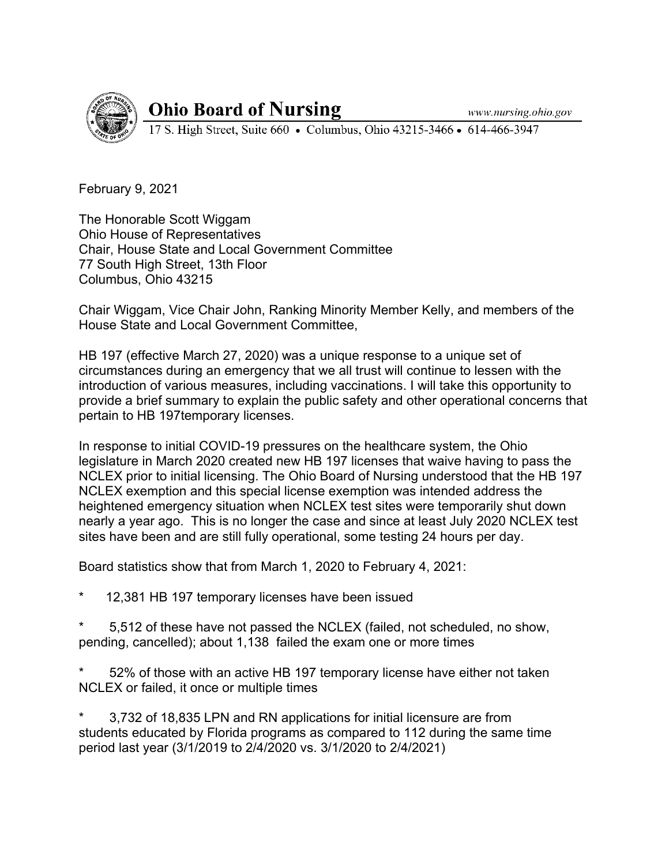www.nursing.ohio.gov



**Ohio Board of Nursing** 

17 S. High Street, Suite 660 • Columbus, Ohio 43215-3466 • 614-466-3947

February 9, 2021

The Honorable Scott Wiggam Ohio House of Representatives Chair, House State and Local Government Committee 77 South High Street, 13th Floor Columbus, Ohio 43215

Chair Wiggam, Vice Chair John, Ranking Minority Member Kelly, and members of the House State and Local Government Committee,

HB 197 (effective March 27, 2020) was a unique response to a unique set of circumstances during an emergency that we all trust will continue to lessen with the introduction of various measures, including vaccinations. I will take this opportunity to provide a brief summary to explain the public safety and other operational concerns that pertain to HB 197temporary licenses.

In response to initial COVID-19 pressures on the healthcare system, the Ohio legislature in March 2020 created new HB 197 licenses that waive having to pass the NCLEX prior to initial licensing. The Ohio Board of Nursing understood that the HB 197 NCLEX exemption and this special license exemption was intended address the heightened emergency situation when NCLEX test sites were temporarily shut down nearly a year ago. This is no longer the case and since at least July 2020 NCLEX test sites have been and are still fully operational, some testing 24 hours per day.

Board statistics show that from March 1, 2020 to February 4, 2021:

12,381 HB 197 temporary licenses have been issued

5,512 of these have not passed the NCLEX (failed, not scheduled, no show, pending, cancelled); about 1,138 failed the exam one or more times

52% of those with an active HB 197 temporary license have either not taken NCLEX or failed, it once or multiple times

3,732 of 18,835 LPN and RN applications for initial licensure are from students educated by Florida programs as compared to 112 during the same time period last year (3/1/2019 to 2/4/2020 vs. 3/1/2020 to 2/4/2021)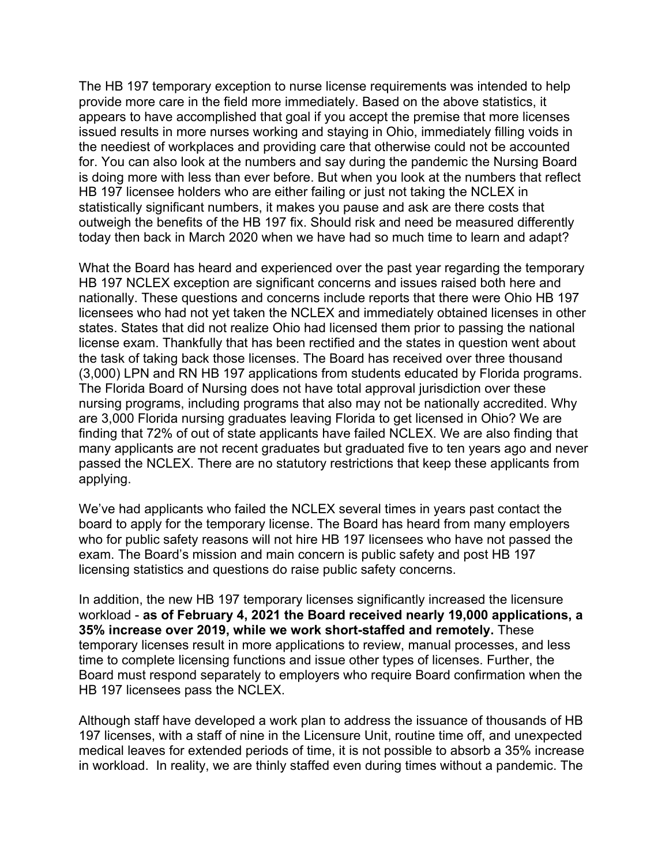The HB 197 temporary exception to nurse license requirements was intended to help provide more care in the field more immediately. Based on the above statistics, it appears to have accomplished that goal if you accept the premise that more licenses issued results in more nurses working and staying in Ohio, immediately filling voids in the neediest of workplaces and providing care that otherwise could not be accounted for. You can also look at the numbers and say during the pandemic the Nursing Board is doing more with less than ever before. But when you look at the numbers that reflect HB 197 licensee holders who are either failing or just not taking the NCLEX in statistically significant numbers, it makes you pause and ask are there costs that outweigh the benefits of the HB 197 fix. Should risk and need be measured differently today then back in March 2020 when we have had so much time to learn and adapt?

What the Board has heard and experienced over the past year regarding the temporary HB 197 NCLEX exception are significant concerns and issues raised both here and nationally. These questions and concerns include reports that there were Ohio HB 197 licensees who had not yet taken the NCLEX and immediately obtained licenses in other states. States that did not realize Ohio had licensed them prior to passing the national license exam. Thankfully that has been rectified and the states in question went about the task of taking back those licenses. The Board has received over three thousand (3,000) LPN and RN HB 197 applications from students educated by Florida programs. The Florida Board of Nursing does not have total approval jurisdiction over these nursing programs, including programs that also may not be nationally accredited. Why are 3,000 Florida nursing graduates leaving Florida to get licensed in Ohio? We are finding that 72% of out of state applicants have failed NCLEX. We are also finding that many applicants are not recent graduates but graduated five to ten years ago and never passed the NCLEX. There are no statutory restrictions that keep these applicants from applying.

We've had applicants who failed the NCLEX several times in years past contact the board to apply for the temporary license. The Board has heard from many employers who for public safety reasons will not hire HB 197 licensees who have not passed the exam. The Board's mission and main concern is public safety and post HB 197 licensing statistics and questions do raise public safety concerns.

In addition, the new HB 197 temporary licenses significantly increased the licensure workload - **as of February 4, 2021 the Board received nearly 19,000 applications, a 35% increase over 2019, while we work short-staffed and remotely.** These temporary licenses result in more applications to review, manual processes, and less time to complete licensing functions and issue other types of licenses. Further, the Board must respond separately to employers who require Board confirmation when the HB 197 licensees pass the NCLEX.

Although staff have developed a work plan to address the issuance of thousands of HB 197 licenses, with a staff of nine in the Licensure Unit, routine time off, and unexpected medical leaves for extended periods of time, it is not possible to absorb a 35% increase in workload. In reality, we are thinly staffed even during times without a pandemic. The